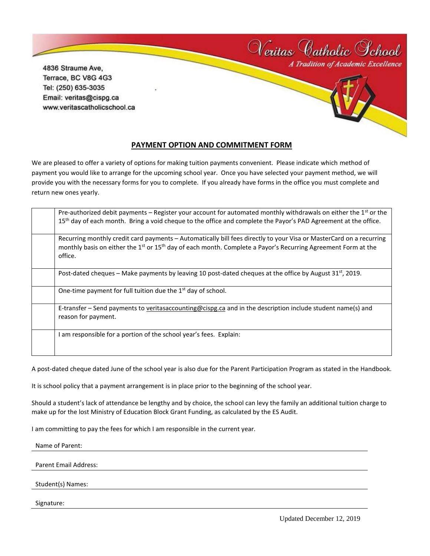4836 Straume Ave, Terrace, BC V8G 4G3 Tel: (250) 635-3035 Email: veritas@cispg.ca www.veritascatholicschool.ca



Neritas Catholic School

## **PAYMENT OPTION AND COMMITMENT FORM**

We are pleased to offer a variety of options for making tuition payments convenient. Please indicate which method of payment you would like to arrange for the upcoming school year. Once you have selected your payment method, we will provide you with the necessary forms for you to complete. If you already have forms in the office you must complete and return new ones yearly.

| Pre-authorized debit payments – Register your account for automated monthly withdrawals on either the $1st$ or the<br>15 <sup>th</sup> day of each month. Bring a void cheque to the office and complete the Payor's PAD Agreement at the office.                       |
|-------------------------------------------------------------------------------------------------------------------------------------------------------------------------------------------------------------------------------------------------------------------------|
| Recurring monthly credit card payments - Automatically bill fees directly to your Visa or MasterCard on a recurring<br>monthly basis on either the 1 <sup>st</sup> or 15 <sup>th</sup> day of each month. Complete a Payor's Recurring Agreement Form at the<br>office. |
| Post-dated cheques – Make payments by leaving 10 post-dated cheques at the office by August $31^{st}$ , 2019.                                                                                                                                                           |
| One-time payment for full tuition due the $1st$ day of school.                                                                                                                                                                                                          |
| E-transfer – Send payments to veritasaccounting@cispg.ca and in the description include student name(s) and<br>reason for payment.                                                                                                                                      |
| I am responsible for a portion of the school year's fees. Explain:                                                                                                                                                                                                      |

A post-dated cheque dated June of the school year is also due for the Parent Participation Program as stated in the Handbook.

It is school policy that a payment arrangement is in place prior to the beginning of the school year.

Should a student's lack of attendance be lengthy and by choice, the school can levy the family an additional tuition charge to make up for the lost Ministry of Education Block Grant Funding, as calculated by the ES Audit.

I am committing to pay the fees for which I am responsible in the current year.

Name of Parent:

Parent Email Address:

Student(s) Names:

Signature: